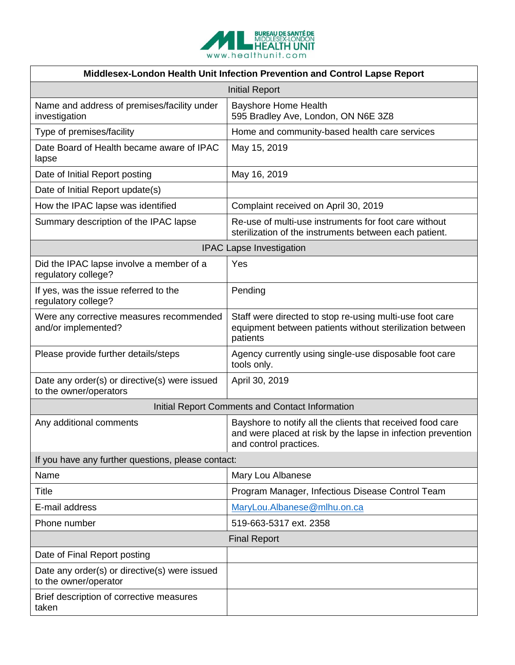

| Middlesex-London Health Unit Infection Prevention and Control Lapse Report |                                                                                                                                                      |
|----------------------------------------------------------------------------|------------------------------------------------------------------------------------------------------------------------------------------------------|
| <b>Initial Report</b>                                                      |                                                                                                                                                      |
| Name and address of premises/facility under<br>investigation               | <b>Bayshore Home Health</b><br>595 Bradley Ave, London, ON N6E 3Z8                                                                                   |
| Type of premises/facility                                                  | Home and community-based health care services                                                                                                        |
| Date Board of Health became aware of IPAC<br>lapse                         | May 15, 2019                                                                                                                                         |
| Date of Initial Report posting                                             | May 16, 2019                                                                                                                                         |
| Date of Initial Report update(s)                                           |                                                                                                                                                      |
| How the IPAC lapse was identified                                          | Complaint received on April 30, 2019                                                                                                                 |
| Summary description of the IPAC lapse                                      | Re-use of multi-use instruments for foot care without<br>sterilization of the instruments between each patient.                                      |
| <b>IPAC Lapse Investigation</b>                                            |                                                                                                                                                      |
| Did the IPAC lapse involve a member of a<br>regulatory college?            | Yes                                                                                                                                                  |
| If yes, was the issue referred to the<br>regulatory college?               | Pending                                                                                                                                              |
| Were any corrective measures recommended<br>and/or implemented?            | Staff were directed to stop re-using multi-use foot care<br>equipment between patients without sterilization between<br>patients                     |
| Please provide further details/steps                                       | Agency currently using single-use disposable foot care<br>tools only.                                                                                |
| Date any order(s) or directive(s) were issued<br>to the owner/operators    | April 30, 2019                                                                                                                                       |
| Initial Report Comments and Contact Information                            |                                                                                                                                                      |
| Any additional comments                                                    | Bayshore to notify all the clients that received food care<br>and were placed at risk by the lapse in infection prevention<br>and control practices. |
| If you have any further questions, please contact:                         |                                                                                                                                                      |
| Name                                                                       | Mary Lou Albanese                                                                                                                                    |
| Title                                                                      | Program Manager, Infectious Disease Control Team                                                                                                     |
| E-mail address                                                             | MaryLou.Albanese@mlhu.on.ca                                                                                                                          |
| Phone number                                                               | 519-663-5317 ext. 2358                                                                                                                               |
| <b>Final Report</b>                                                        |                                                                                                                                                      |
| Date of Final Report posting                                               |                                                                                                                                                      |
| Date any order(s) or directive(s) were issued<br>to the owner/operator     |                                                                                                                                                      |
| Brief description of corrective measures<br>taken                          |                                                                                                                                                      |